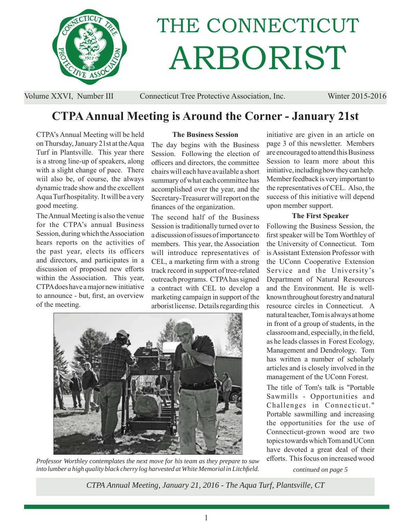

# THE CONNECTICUT ARBORIST

Volume XXVI, Number III Connecticut Tree Protective Association, Inc. Winter 2015-2016

# **CTPA Annual Meeting is Around the Corner - January 21st**

CTPA's Annual Meeting will be held on Thursday, January 21st at the Aqua Turf in Plantsville. This year there is a strong line-up of speakers, along with a slight change of pace. There wiil also be, of course, the always dynamic trade show and the excellent Aqua Turf hospitality. It will be a very good meeting.

The Annual Meeting is also the venue for the CTPA's annual Business Session, during which the Association hears reports on the activities of the past year, elects its officers and directors, and participates in a discussion of proposed new efforts within the Association. This year, CTPA does have a major new initiative to announce - but, first, an overview of the meeting.

#### **The Business Session**

The day begins with the Business Session. Following the election of officers and directors, the committee chairs will each have available a short summary of what each committee has accomplished over the year, and the Secretary-Treasurer will report on the finances of the organization.

The second half of the Business Session is traditionally turned over to a discussion of issues of importance to members. This year, the Association will introduce representatives of CEL, a marketing firm with a strong track record in support of tree-related outreach programs. CTPA has signed a contract with CEL to develop a marketing campaign in support of the arborist license. Details regarding this



*Professor Worthley contemplates the next move for his team as they prepare to saw into lumber a high quality black cherry log harvested at White Memorial in Litchfi eld.*

initiative are given in an article on page 3 of this newsletter. Members are encouraged to attend this Business Session to learn more about this initiative, including how they can help. Member feedback is very important to the representatives of CEL. Also, the success of this initiative will depend upon member support.

### **The First Speaker**

Following the Business Session, the first speaker will be Tom Worthley of the University of Connecticut. Tom is Assistant Extension Professor with the UConn Cooperative Extension Service and the University's Department of Natural Resources and the Environment. He is wellknown throughout forestry and natural resource circles in Connecticut. A natural teacher, Tom is always at home in front of a group of students, in the classroom and, especially, in the field, as he leads classes in Forest Ecology, Management and Dendrology. Tom has written a number of scholarly articles and is closely involved in the management of the UConn Forest.

The title of Tom's talk is "Portable Sawmills - Opportunities and Challenges in Connecticut." Portable sawmilling and increasing the opportunities for the use of Connecticut-grown wood are two topics towards which Tom and UConn have devoted a great deal of their efforts. This focus on increased wood

*continued on page 5*

*CTPA Annual Meeting, January 21, 2016 - The Aqua Turf, Plantsville, CT*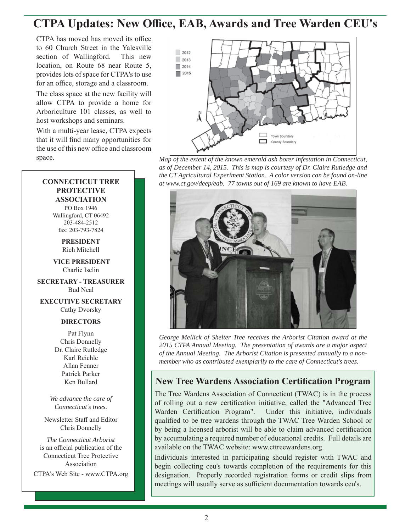# **CTPA Updates: New Office, EAB, Awards and Tree Warden CEU's**

CTPA has moved has moved its office to 60 Church Street in the Yalesville section of Wallingford. This new location, on Route 68 near Route 5, provides lots of space for CTPA's to use for an office, storage and a classroom.

The class space at the new facility will allow CTPA to provide a home for Arboriculture 101 classes, as well to host workshops and seminars.

With a multi-year lease, CTPA expects that it will find many opportunities for the use of this new office and classroom

## **CONNECTICUT TREE PROTECTIVE ASSOCIATION**

PO Box 1946 Wallingford, CT 06492 203-484-2512 fax: 203-793-7824

> **PRESIDENT** Rich Mitchell

 **VICE PRESIDENT** Charlie Iselin

**SECRETARY - TREASURER** Bud Neal

**EXECUTIVE SECRETARY** Cathy Dvorsky

### **DIRECTORS**

Pat Flynn Chris Donnelly Dr. Claire Rutledge Karl Reichle Allan Fenner Patrick Parker Ken Bullard

*We advance the care of Connecticut's trees.*

Newsletter Staff and Editor Chris Donnelly

*The Connecticut Arborist* is an official publication of the Connecticut Tree Protective Association

CTPA's Web Site - www.CTPA.org



space. *Map of the extent of the known emerald ash borer infestation in Connecticut, as of December 14, 2015. This is map is courtesy of Dr. Claire Rutledge and the CT Agricultural Experiment Station. A color version can be found on-line at www.ct.gov/deep/eab. 77 towns out of 169 are known to have EAB.*



*George Mellick of Shelter Tree receives the Arborist Citation award at the 2015 CTPA Annual Meeting. The presentation of awards are a major aspect of the Annual Meeting. The Arborist Citation is presented annually to a nonmember who as contributed exemplarily to the care of Connecticut's trees.*

## **New Tree Wardens Association Certification Program**

The Tree Wardens Association of Connecticut (TWAC) is in the process of rolling out a new certification initiative, called the "Advanced Tree Warden Certification Program". Under this initiative, individuals qualified to be tree wardens through the TWAC Tree Warden School or by being a licensed arborist will be able to claim advanced certification by accumulating a required number of educational credits. Full details are available on the TWAC website: www.cttreewardens.org.

Individuals interested in participating should register with TWAC and begin collecting ceu's towards completion of the requirements for this designation. Properly recorded registration forms or credit slips from meetings will usually serve as sufficient documentation towards ceu's.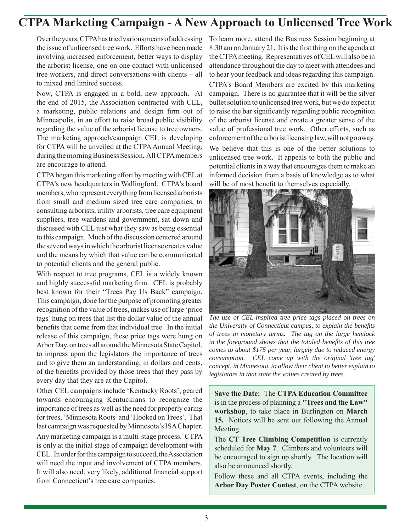# **CTPA Marketing Campaign - A New Approach to Unlicensed Tree Work**

Over the years, CTPA has tried various means of addressing the issue of unlicensed tree work. Efforts have been made involving increased enforcement, better ways to display the arborist license, one on one contact with unlicensed tree workers, and direct conversations with clients – all to mixed and limited success.

Now, CTPA is engaged in a bold, new approach. At the end of 2015, the Association contracted with CEL, a marketing, public relations and design firm out of Minneapolis, in an effort to raise broad public visibility regarding the value of the arborist license to tree owners. The marketing approach/campaign CEL is developing for CTPA will be unveiled at the CTPA Annual Meeting, during the morning Business Session. All CTPA members are encourage to attend.

CTPA began this marketing effort by meeting with CEL at CTPA's new headquarters in Wallingford. CTPA's board members, who represent everything from licensed arborists from small and medium sized tree care companies, to consulting arborists, utility arborists, tree care equipment suppliers, tree wardens and government, sat down and discussed with CEL just what they saw as being essential to this campaign. Much of the discussion centered around the several ways in which the arborist license creates value and the means by which that value can be communicated to potential clients and the general public.

With respect to tree programs, CEL is a widely known and highly successful marketing firm. CEL is probably best known for their "Trees Pay Us Back" campaign. This campaign, done for the purpose of promoting greater recognition of the value of trees, makes use of large 'price tags' hung on trees that list the dollar value of the annual benefits that come from that individual tree. In the initial release of this campaign, these price tags were hung on Arbor Day, on trees all around the Minnesota State Capitol, to impress upon the legislators the importance of trees and to give them an understanding, in dollars and cents, of the benefits provided by those trees that they pass by every day that they are at the Capitol.

Other CEL campaigns include 'Kentucky Roots', geared towards encouraging Kentuckians to recognize the importance of trees as well as the need for properly caring for trees, 'Minnesota Roots' and 'Hooked on Trees'. That last campaign was requested by Minnesota's ISA Chapter.

Any marketing campaign is a multi-stage process. CTPA is only at the initial stage of campaign development with CEL. In order for this campaign to succeed, the Association will need the input and involvement of CTPA members. It will also need, very likely, additional financial support from Connecticut's tree care companies.

To learn more, attend the Business Session beginning at 8:30 am on January 21. It is the first thing on the agenda at the CTPA meeting. Representatives of CEL will also be in attendance throughout the day to meet with attendees and to hear your feedback and ideas regarding this campaign.

CTPA's Board Members are excited by this marketing campaign. There is no guarantee that it will be the silver bullet solution to unlicensed tree work, but we do expect it to raise the bar significantly regarding public recognition of the arborist license and create a greater sense of the value of professional tree work. Other efforts, such as enforcement of the arborist licensing law, will not go away. We believe that this is one of the better solutions to unlicensed tree work. It appeals to both the public and potential clients in a way that encourages them to make an informed decision from a basis of knowledge as to what will be of most benefit to themselves especially.



*The use of CEL-inspired tree price tags placed on trees on the University of Connecticut campus, to explain the benefits of trees in monetary terms. The tag on the large hemlock in the foreground shows that the totaled benefits of this tree comes to about \$175 per year, largely due to reduced energy consumption. CEL come up with the original 'tree tag' concept, in Minnesota, to allow their client to better explain to legislators in that state the values created by trees.*

**Save the Date:** The **CTPA Education Committee** is in the process of planning a **"Trees and the Law" workshop**, to take place in Burlington on **March 15.** Notices will be sent out following the Annual Meeting.

The **CT Tree Climbing Competition** is currently scheduled for **May 7**. Climbers and volunteers will be encouraged to sign up shortly. The location will also be announced shortly.

Follow these and all CTPA events, including the **Arbor Day Poster Contest**, on the CTPA website.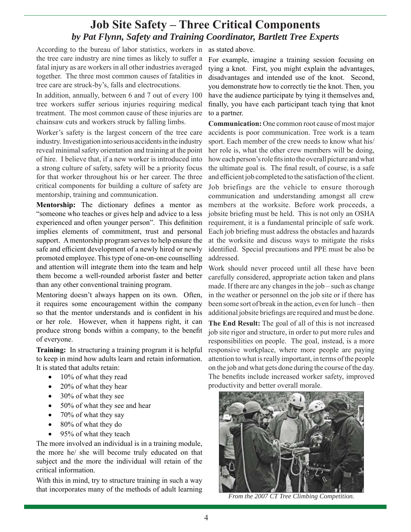## **Job Site Safety – Three Critical Components** *by Pat Flynn, Safety and Training Coordinator, Bartlett Tree Experts*

According to the bureau of labor statistics, workers in as stated above. the tree care industry are nine times as likely to suffer a fatal injury as are workers in all other industries averaged together. The three most common causes of fatalities in tree care are struck-by's, falls and electrocutions.

In addition, annually, between 6 and 7 out of every 100 tree workers suffer serious injuries requiring medical treatment. The most common cause of these injuries are chainsaw cuts and workers struck by falling limbs.

Worker's safety is the largest concern of the tree care industry. Investigation into serious accidents in the industry reveal minimal safety orientation and training at the point of hire. I believe that, if a new worker is introduced into a strong culture of safety, safety will be a priority focus for that worker throughout his or her career. The three critical components for building a culture of safety are mentorship, training and communication.

**Mentorship:** The dictionary defines a mentor as "someone who teaches or gives help and advice to a less experienced and often younger person". This definition implies elements of commitment, trust and personal support. A mentorship program serves to help ensure the safe and efficient development of a newly hired or newly promoted employee. This type of one-on-one counselling and attention will integrate them into the team and help them become a well-rounded arborist faster and better than any other conventional training program.

Mentoring doesn't always happen on its own. Often, it requires some encouragement within the company so that the mentor understands and is confident in his or her role. However, when it happens right, it can produce strong bonds within a company, to the benefit of everyone.

**Training:** In structuring a training program it is helpful to keep in mind how adults learn and retain information. It is stated that adults retain:

- 10% of what they read
- 20% of what they hear
- 30% of what they see
- 50% of what they see and hear
- 70% of what they say
- 80% of what they do
- 95% of what they teach

The more involved an individual is in a training module, the more he/ she will become truly educated on that subject and the more the individual will retain of the critical information.

With this in mind, try to structure training in such a way that incorporates many of the methods of adult learning

For example, imagine a training session focusing on tying a knot. First, you might explain the advantages, disadvantages and intended use of the knot. Second, you demonstrate how to correctly tie the knot. Then, you have the audience participate by tying it themselves and, finally, you have each participant teach tying that knot to a partner.

**Communication:** One common root cause of most major accidents is poor communication. Tree work is a team sport. Each member of the crew needs to know what his/ her role is, what the other crew members will be doing, how each person's role fits into the overall picture and what the ultimate goal is. The final result, of course, is a safe and efficient job completed to the satisfaction of the client. Job briefings are the vehicle to ensure thorough communication and understanding amongst all crew members at the worksite. Before work proceeds, a jobsite briefing must be held. This is not only an OSHA requirement, it is a fundamental principle of safe work. Each job briefing must address the obstacles and hazards at the worksite and discuss ways to mitigate the risks identified. Special precautions and PPE must be also be addressed.

Work should never proceed until all these have been carefully considered, appropriate action taken and plans made. If there are any changes in the job – such as change in the weather or personnel on the job site or if there has been some sort of break in the action, even for lunch – then additional jobsite briefings are required and must be done. **The End Result:** The goal of all of this is not increased job site rigor and structure, in order to put more rules and responsibilities on people. The goal, instead, is a more responsive workplace, where more people are paying attention to what is really important, in terms of the people on the job and what gets done during the course of the day. The benefits include increased worker safety, improved productivity and better overall morale.



*From the 2007 CT Tree Climbing Competition.*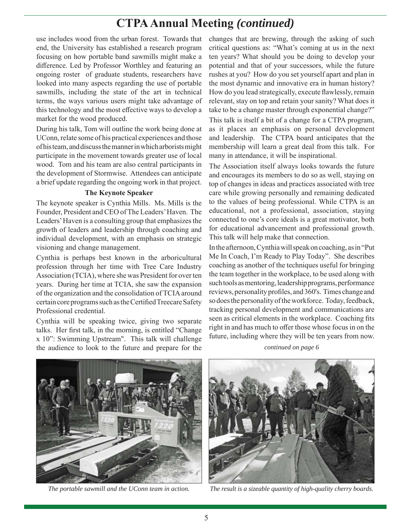# **CTPA Annual Meeting** *(continued)*

use includes wood from the urban forest. Towards that end, the University has established a research program focusing on how portable band sawmills might make a difference. Led by Professor Worthley and featuring an ongoing roster of graduate students, researchers have looked into many aspects regarding the use of portable sawmills, including the state of the art in technical terms, the ways various users might take advantage of this technology and the most effective ways to develop a market for the wood produced.

During his talk, Tom will outline the work being done at UConn, relate some of his practical experiences and those of his team, and discuss the manner in which arborists might participate in the movement towards greater use of local wood. Tom and his team are also central participants in the development of Stormwise. Attendees can anticipate a brief update regarding the ongoing work in that project.

#### **The Keynote Speaker**

The keynote speaker is Cynthia Mills. Ms. Mills is the Founder, President and CEO of The Leaders' Haven. The Leaders' Haven is a consulting group that emphasizes the growth of leaders and leadership through coaching and individual development, with an emphasis on strategic visioning and change management.

Cynthia is perhaps best known in the arboricultural profession through her time with Tree Care Industry Association (TCIA), where she was President for over ten years. During her time at TCIA, she saw the expansion of the organization and the consolidation of TCIA around certain core programs such as the Certified Treecare Safety Professional credential.

Cynthia will be speaking twice, giving two separate talks. Her first talk, in the morning, is entitled "Change x 10": Swimming Upstream". This talk will challenge the audience to look to the future and prepare for the

changes that are brewing, through the asking of such critical questions as: "What's coming at us in the next ten years? What should you be doing to develop your potential and that of your successors, while the future rushes at you? How do you set yourself apart and plan in the most dynamic and innovative era in human history? How do you lead strategically, execute flawlessly, remain relevant, stay on top and retain your sanity? What does it take to be a change master through exponential change?"

This talk is itself a bit of a change for a CTPA program, as it places an emphasis on personal development and leadership. The CTPA board anticipates that the membership will learn a great deal from this talk. For many in attendance, it will be inspirational.

The Association itself always looks towards the future and encourages its members to do so as well, staying on top of changes in ideas and practices associated with tree care while growing personally and remaining dedicated to the values of being professional. While CTPA is an educational, not a professional, association, staying connected to one's core ideals is a great motivator, both for educational advancement and professional growth. This talk will help make that connection.

In the afternoon, Cynthia will speak on coaching, as in "Put Me In Coach, I'm Ready to Play Today". She describes coaching as another of the techniques useful for bringing the team together in the workplace, to be used along with such tools as mentoring, leadership programs, performance reviews, personality profiles, and 360's. Times change and so does the personality of the workforce. Today, feedback, tracking personal development and communications are seen as critical elements in the workplace. Coaching fits right in and has much to offer those whose focus in on the future, including where they will be ten years from now.

*continued on page 6*





*The portable sawmill and the UConn team in action. The result is a sizeable quantity of high-quality cherry boards.*